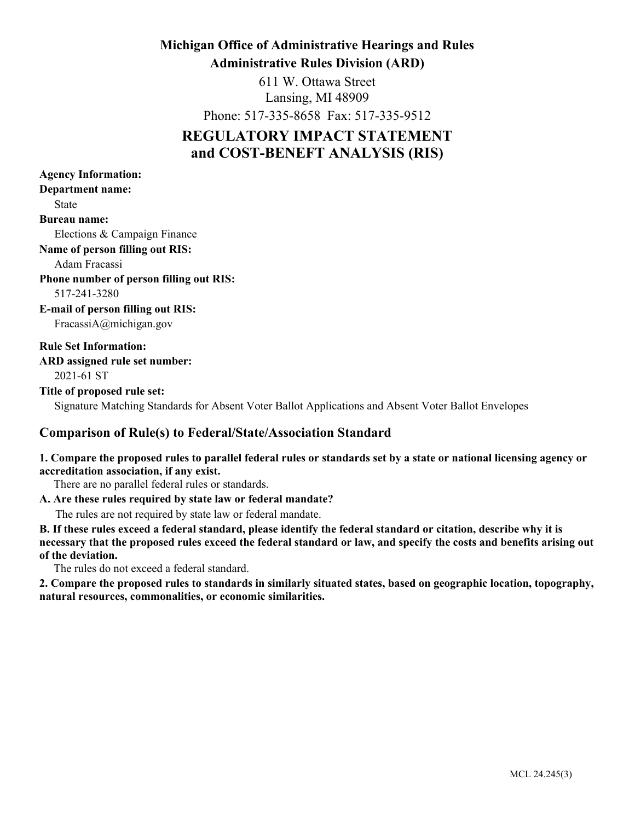## **Michigan Office of Administrative Hearings and Rules Administrative Rules Division (ARD)**

611 W. Ottawa Street Lansing, MI 48909

Phone: 517-335-8658 Fax: 517-335-9512

# **REGULATORY IMPACT STATEMENT and COST-BENEFT ANALYSIS (RIS)**

| <b>Agency Information:</b>                                                                          |
|-----------------------------------------------------------------------------------------------------|
| <b>Department name:</b>                                                                             |
| <b>State</b>                                                                                        |
| <b>Bureau name:</b>                                                                                 |
| Elections & Campaign Finance                                                                        |
| <b>Name of person filling out RIS:</b>                                                              |
| Adam Fracassi                                                                                       |
| <b>Phone number of person filling out RIS:</b>                                                      |
| 517-241-3280                                                                                        |
| <b>E-mail of person filling out RIS:</b>                                                            |
| FracassiA@michigan.gov                                                                              |
| <b>Rule Set Information:</b>                                                                        |
| ARD assigned rule set number:                                                                       |
| 2021-61 ST                                                                                          |
| Title of proposed rule set:                                                                         |
| Signature Matching Standards for Absent Voter Ballot Applications and Absent Voter Ballot Envelopes |

## **Comparison of Rule(s) to Federal/State/Association Standard**

### **1. Compare the proposed rules to parallel federal rules or standards set by a state or national licensing agency or accreditation association, if any exist.**

There are no parallel federal rules or standards.

### **A. Are these rules required by state law or federal mandate?**

The rules are not required by state law or federal mandate.

**B. If these rules exceed a federal standard, please identify the federal standard or citation, describe why it is necessary that the proposed rules exceed the federal standard or law, and specify the costs and benefits arising out of the deviation.**

The rules do not exceed a federal standard.

**2. Compare the proposed rules to standards in similarly situated states, based on geographic location, topography, natural resources, commonalities, or economic similarities.**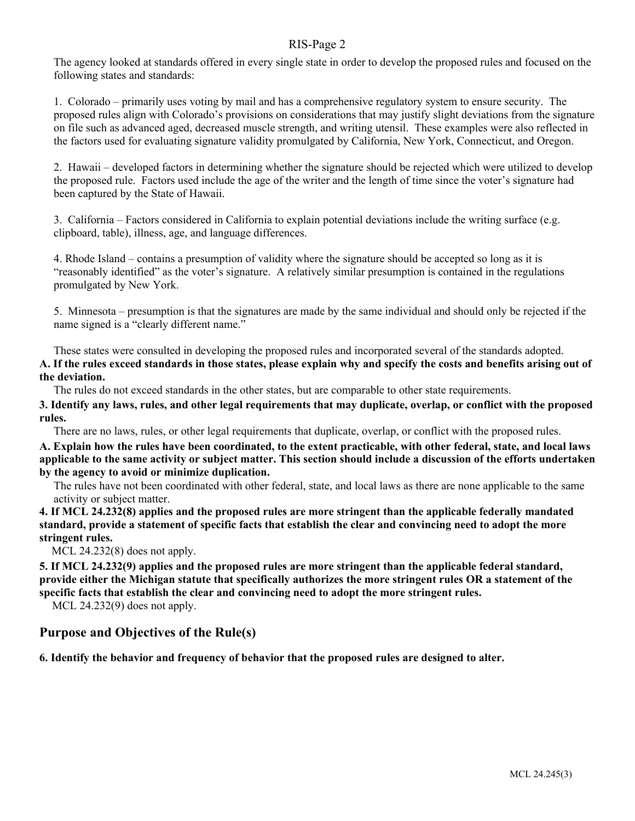The agency looked at standards offered in every single state in order to develop the proposed rules and focused on the following states and standards:

1. Colorado – primarily uses voting by mail and has a comprehensive regulatory system to ensure security. The proposed rules align with Colorado's provisions on considerations that may justify slight deviations from the signature on file such as advanced aged, decreased muscle strength, and writing utensil. These examples were also reflected in the factors used for evaluating signature validity promulgated by California, New York, Connecticut, and Oregon.

2. Hawaii – developed factors in determining whether the signature should be rejected which were utilized to develop the proposed rule. Factors used include the age of the writer and the length of time since the voter's signature had been captured by the State of Hawaii.

3. California – Factors considered in California to explain potential deviations include the writing surface (e.g. clipboard, table), illness, age, and language differences.

4. Rhode Island – contains a presumption of validity where the signature should be accepted so long as it is "reasonably identified" as the voter's signature. A relatively similar presumption is contained in the regulations promulgated by New York.

5. Minnesota – presumption is that the signatures are made by the same individual and should only be rejected if the name signed is a "clearly different name."

These states were consulted in developing the proposed rules and incorporated several of the standards adopted. **A. If the rules exceed standards in those states, please explain why and specify the costs and benefits arising out of the deviation.**

The rules do not exceed standards in the other states, but are comparable to other state requirements.

**3. Identify any laws, rules, and other legal requirements that may duplicate, overlap, or conflict with the proposed rules.**

There are no laws, rules, or other legal requirements that duplicate, overlap, or conflict with the proposed rules.

**A. Explain how the rules have been coordinated, to the extent practicable, with other federal, state, and local laws applicable to the same activity or subject matter. This section should include a discussion of the efforts undertaken by the agency to avoid or minimize duplication.**

The rules have not been coordinated with other federal, state, and local laws as there are none applicable to the same activity or subject matter.

**4. If MCL 24.232(8) applies and the proposed rules are more stringent than the applicable federally mandated standard, provide a statement of specific facts that establish the clear and convincing need to adopt the more stringent rules.**

MCL 24.232(8) does not apply.

**5. If MCL 24.232(9) applies and the proposed rules are more stringent than the applicable federal standard, provide either the Michigan statute that specifically authorizes the more stringent rules OR a statement of the specific facts that establish the clear and convincing need to adopt the more stringent rules.**

MCL 24.232(9) does not apply.

### **Purpose and Objectives of the Rule(s)**

**6. Identify the behavior and frequency of behavior that the proposed rules are designed to alter.**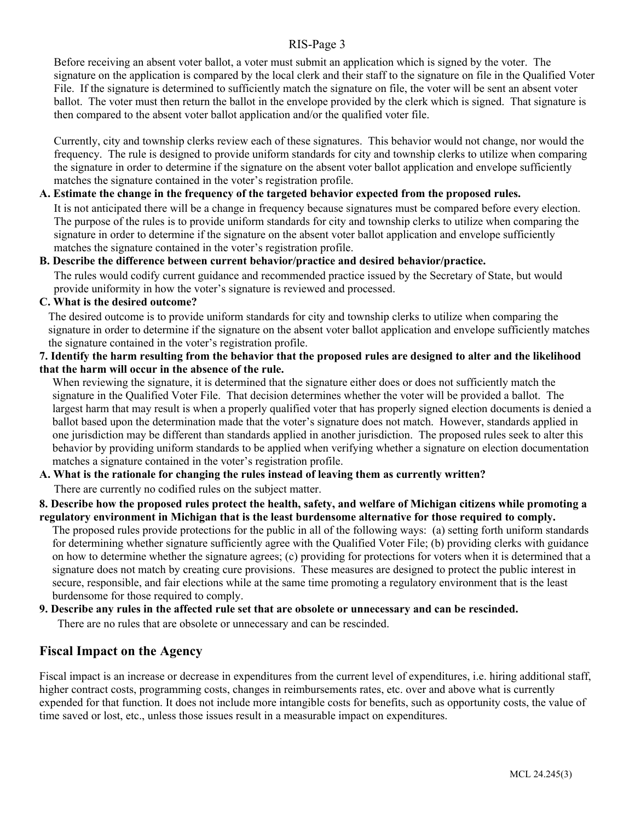Before receiving an absent voter ballot, a voter must submit an application which is signed by the voter. The signature on the application is compared by the local clerk and their staff to the signature on file in the Qualified Voter File. If the signature is determined to sufficiently match the signature on file, the voter will be sent an absent voter ballot. The voter must then return the ballot in the envelope provided by the clerk which is signed. That signature is then compared to the absent voter ballot application and/or the qualified voter file.

Currently, city and township clerks review each of these signatures. This behavior would not change, nor would the frequency. The rule is designed to provide uniform standards for city and township clerks to utilize when comparing the signature in order to determine if the signature on the absent voter ballot application and envelope sufficiently matches the signature contained in the voter's registration profile.

### **A. Estimate the change in the frequency of the targeted behavior expected from the proposed rules.**

It is not anticipated there will be a change in frequency because signatures must be compared before every election. The purpose of the rules is to provide uniform standards for city and township clerks to utilize when comparing the signature in order to determine if the signature on the absent voter ballot application and envelope sufficiently matches the signature contained in the voter's registration profile.

### **B. Describe the difference between current behavior/practice and desired behavior/practice.**

The rules would codify current guidance and recommended practice issued by the Secretary of State, but would provide uniformity in how the voter's signature is reviewed and processed.

### **C. What is the desired outcome?**

The desired outcome is to provide uniform standards for city and township clerks to utilize when comparing the signature in order to determine if the signature on the absent voter ballot application and envelope sufficiently matches the signature contained in the voter's registration profile.

### **7. Identify the harm resulting from the behavior that the proposed rules are designed to alter and the likelihood that the harm will occur in the absence of the rule.**

When reviewing the signature, it is determined that the signature either does or does not sufficiently match the signature in the Qualified Voter File. That decision determines whether the voter will be provided a ballot. The largest harm that may result is when a properly qualified voter that has properly signed election documents is denied a ballot based upon the determination made that the voter's signature does not match. However, standards applied in one jurisdiction may be different than standards applied in another jurisdiction. The proposed rules seek to alter this behavior by providing uniform standards to be applied when verifying whether a signature on election documentation matches a signature contained in the voter's registration profile.

### **A. What is the rationale for changing the rules instead of leaving them as currently written?**

There are currently no codified rules on the subject matter.

### **8. Describe how the proposed rules protect the health, safety, and welfare of Michigan citizens while promoting a regulatory environment in Michigan that is the least burdensome alternative for those required to comply.**

The proposed rules provide protections for the public in all of the following ways: (a) setting forth uniform standards for determining whether signature sufficiently agree with the Qualified Voter File; (b) providing clerks with guidance on how to determine whether the signature agrees; (c) providing for protections for voters when it is determined that a signature does not match by creating cure provisions. These measures are designed to protect the public interest in secure, responsible, and fair elections while at the same time promoting a regulatory environment that is the least burdensome for those required to comply.

### **9. Describe any rules in the affected rule set that are obsolete or unnecessary and can be rescinded.**

There are no rules that are obsolete or unnecessary and can be rescinded.

### **Fiscal Impact on the Agency**

Fiscal impact is an increase or decrease in expenditures from the current level of expenditures, i.e. hiring additional staff, higher contract costs, programming costs, changes in reimbursements rates, etc. over and above what is currently expended for that function. It does not include more intangible costs for benefits, such as opportunity costs, the value of time saved or lost, etc., unless those issues result in a measurable impact on expenditures.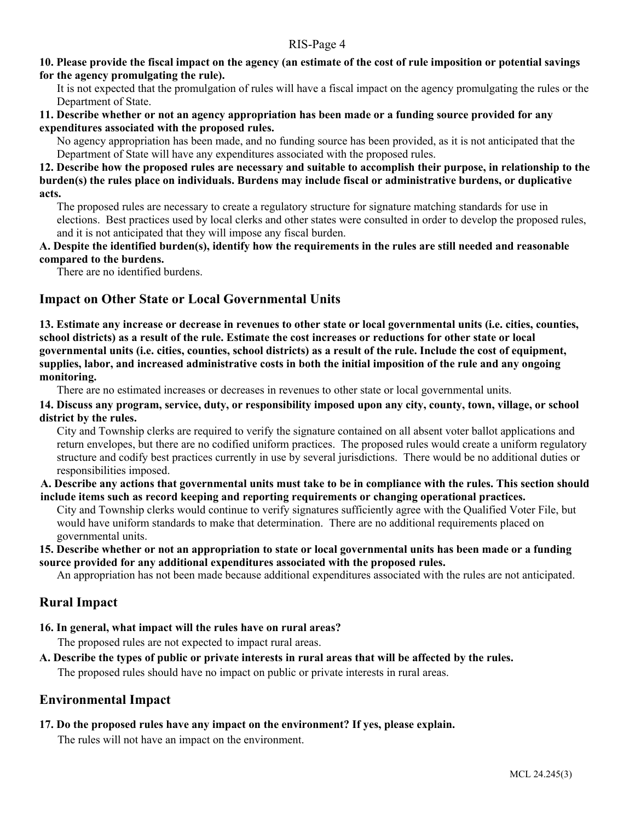### **10. Please provide the fiscal impact on the agency (an estimate of the cost of rule imposition or potential savings for the agency promulgating the rule).**

It is not expected that the promulgation of rules will have a fiscal impact on the agency promulgating the rules or the Department of State.

### **11. Describe whether or not an agency appropriation has been made or a funding source provided for any expenditures associated with the proposed rules.**

No agency appropriation has been made, and no funding source has been provided, as it is not anticipated that the Department of State will have any expenditures associated with the proposed rules.

### **12. Describe how the proposed rules are necessary and suitable to accomplish their purpose, in relationship to the burden(s) the rules place on individuals. Burdens may include fiscal or administrative burdens, or duplicative acts.**

The proposed rules are necessary to create a regulatory structure for signature matching standards for use in elections. Best practices used by local clerks and other states were consulted in order to develop the proposed rules, and it is not anticipated that they will impose any fiscal burden.

### **A. Despite the identified burden(s), identify how the requirements in the rules are still needed and reasonable compared to the burdens.**

There are no identified burdens.

### **Impact on Other State or Local Governmental Units**

**13. Estimate any increase or decrease in revenues to other state or local governmental units (i.e. cities, counties, school districts) as a result of the rule. Estimate the cost increases or reductions for other state or local governmental units (i.e. cities, counties, school districts) as a result of the rule. Include the cost of equipment, supplies, labor, and increased administrative costs in both the initial imposition of the rule and any ongoing monitoring.**

There are no estimated increases or decreases in revenues to other state or local governmental units.

**14. Discuss any program, service, duty, or responsibility imposed upon any city, county, town, village, or school district by the rules.**

City and Township clerks are required to verify the signature contained on all absent voter ballot applications and return envelopes, but there are no codified uniform practices. The proposed rules would create a uniform regulatory structure and codify best practices currently in use by several jurisdictions. There would be no additional duties or responsibilities imposed.

**A. Describe any actions that governmental units must take to be in compliance with the rules. This section should include items such as record keeping and reporting requirements or changing operational practices.**

City and Township clerks would continue to verify signatures sufficiently agree with the Qualified Voter File, but would have uniform standards to make that determination. There are no additional requirements placed on governmental units.

### **15. Describe whether or not an appropriation to state or local governmental units has been made or a funding source provided for any additional expenditures associated with the proposed rules.**

An appropriation has not been made because additional expenditures associated with the rules are not anticipated.

## **Rural Impact**

**16. In general, what impact will the rules have on rural areas?**

The proposed rules are not expected to impact rural areas.

**A. Describe the types of public or private interests in rural areas that will be affected by the rules.**

The proposed rules should have no impact on public or private interests in rural areas.

### **Environmental Impact**

**17. Do the proposed rules have any impact on the environment? If yes, please explain.** 

The rules will not have an impact on the environment.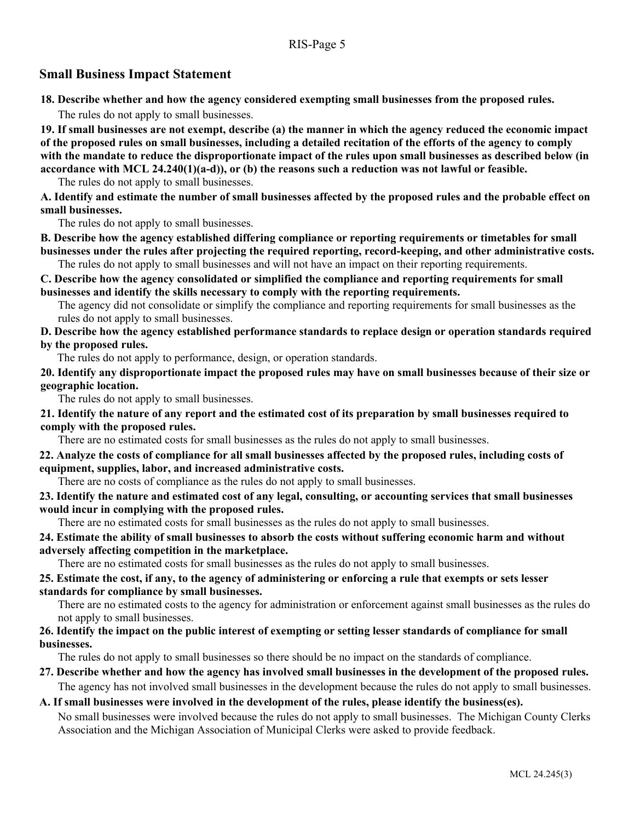### **Small Business Impact Statement**

**18. Describe whether and how the agency considered exempting small businesses from the proposed rules.**

The rules do not apply to small businesses.

**19. If small businesses are not exempt, describe (a) the manner in which the agency reduced the economic impact of the proposed rules on small businesses, including a detailed recitation of the efforts of the agency to comply with the mandate to reduce the disproportionate impact of the rules upon small businesses as described below (in accordance with MCL 24.240(1)(a-d)), or (b) the reasons such a reduction was not lawful or feasible.**

The rules do not apply to small businesses.

**A. Identify and estimate the number of small businesses affected by the proposed rules and the probable effect on small businesses.**

The rules do not apply to small businesses.

**B. Describe how the agency established differing compliance or reporting requirements or timetables for small businesses under the rules after projecting the required reporting, record-keeping, and other administrative costs.**

The rules do not apply to small businesses and will not have an impact on their reporting requirements.

**C. Describe how the agency consolidated or simplified the compliance and reporting requirements for small businesses and identify the skills necessary to comply with the reporting requirements.** 

The agency did not consolidate or simplify the compliance and reporting requirements for small businesses as the rules do not apply to small businesses.

**D. Describe how the agency established performance standards to replace design or operation standards required by the proposed rules.**

The rules do not apply to performance, design, or operation standards.

**20. Identify any disproportionate impact the proposed rules may have on small businesses because of their size or geographic location.**

The rules do not apply to small businesses.

**21. Identify the nature of any report and the estimated cost of its preparation by small businesses required to comply with the proposed rules.**

There are no estimated costs for small businesses as the rules do not apply to small businesses.

### **22. Analyze the costs of compliance for all small businesses affected by the proposed rules, including costs of equipment, supplies, labor, and increased administrative costs.**

There are no costs of compliance as the rules do not apply to small businesses.

**23. Identify the nature and estimated cost of any legal, consulting, or accounting services that small businesses would incur in complying with the proposed rules.**

There are no estimated costs for small businesses as the rules do not apply to small businesses.

### **24. Estimate the ability of small businesses to absorb the costs without suffering economic harm and without adversely affecting competition in the marketplace.**

There are no estimated costs for small businesses as the rules do not apply to small businesses.

### **25. Estimate the cost, if any, to the agency of administering or enforcing a rule that exempts or sets lesser standards for compliance by small businesses.**

There are no estimated costs to the agency for administration or enforcement against small businesses as the rules do not apply to small businesses.

### **26. Identify the impact on the public interest of exempting or setting lesser standards of compliance for small businesses.**

The rules do not apply to small businesses so there should be no impact on the standards of compliance.

### **27. Describe whether and how the agency has involved small businesses in the development of the proposed rules.**

The agency has not involved small businesses in the development because the rules do not apply to small businesses.

### **A. If small businesses were involved in the development of the rules, please identify the business(es).**

No small businesses were involved because the rules do not apply to small businesses. The Michigan County Clerks Association and the Michigan Association of Municipal Clerks were asked to provide feedback.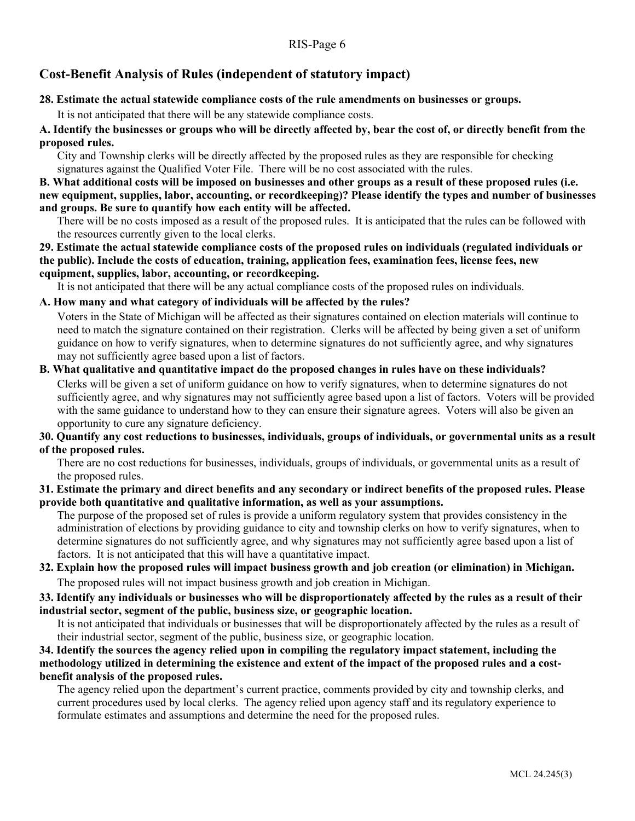## **Cost-Benefit Analysis of Rules (independent of statutory impact)**

### **28. Estimate the actual statewide compliance costs of the rule amendments on businesses or groups.**

It is not anticipated that there will be any statewide compliance costs.

**A. Identify the businesses or groups who will be directly affected by, bear the cost of, or directly benefit from the proposed rules.**

City and Township clerks will be directly affected by the proposed rules as they are responsible for checking signatures against the Qualified Voter File. There will be no cost associated with the rules.

**B. What additional costs will be imposed on businesses and other groups as a result of these proposed rules (i.e. new equipment, supplies, labor, accounting, or recordkeeping)? Please identify the types and number of businesses and groups. Be sure to quantify how each entity will be affected.**

There will be no costs imposed as a result of the proposed rules. It is anticipated that the rules can be followed with the resources currently given to the local clerks.

**29. Estimate the actual statewide compliance costs of the proposed rules on individuals (regulated individuals or the public). Include the costs of education, training, application fees, examination fees, license fees, new equipment, supplies, labor, accounting, or recordkeeping.**

It is not anticipated that there will be any actual compliance costs of the proposed rules on individuals.

### **A. How many and what category of individuals will be affected by the rules?**

Voters in the State of Michigan will be affected as their signatures contained on election materials will continue to need to match the signature contained on their registration. Clerks will be affected by being given a set of uniform guidance on how to verify signatures, when to determine signatures do not sufficiently agree, and why signatures may not sufficiently agree based upon a list of factors.

### **B. What qualitative and quantitative impact do the proposed changes in rules have on these individuals?** Clerks will be given a set of uniform guidance on how to verify signatures, when to determine signatures do not sufficiently agree, and why signatures may not sufficiently agree based upon a list of factors. Voters will be provided with the same guidance to understand how to they can ensure their signature agrees. Voters will also be given an opportunity to cure any signature deficiency.

### **30. Quantify any cost reductions to businesses, individuals, groups of individuals, or governmental units as a result of the proposed rules.**

There are no cost reductions for businesses, individuals, groups of individuals, or governmental units as a result of the proposed rules.

**31. Estimate the primary and direct benefits and any secondary or indirect benefits of the proposed rules. Please provide both quantitative and qualitative information, as well as your assumptions.**

The purpose of the proposed set of rules is provide a uniform regulatory system that provides consistency in the administration of elections by providing guidance to city and township clerks on how to verify signatures, when to determine signatures do not sufficiently agree, and why signatures may not sufficiently agree based upon a list of factors. It is not anticipated that this will have a quantitative impact.

### **32. Explain how the proposed rules will impact business growth and job creation (or elimination) in Michigan.** The proposed rules will not impact business growth and job creation in Michigan.

### **33. Identify any individuals or businesses who will be disproportionately affected by the rules as a result of their industrial sector, segment of the public, business size, or geographic location.**

It is not anticipated that individuals or businesses that will be disproportionately affected by the rules as a result of their industrial sector, segment of the public, business size, or geographic location.

### **34. Identify the sources the agency relied upon in compiling the regulatory impact statement, including the methodology utilized in determining the existence and extent of the impact of the proposed rules and a costbenefit analysis of the proposed rules.**

The agency relied upon the department's current practice, comments provided by city and township clerks, and current procedures used by local clerks. The agency relied upon agency staff and its regulatory experience to formulate estimates and assumptions and determine the need for the proposed rules.